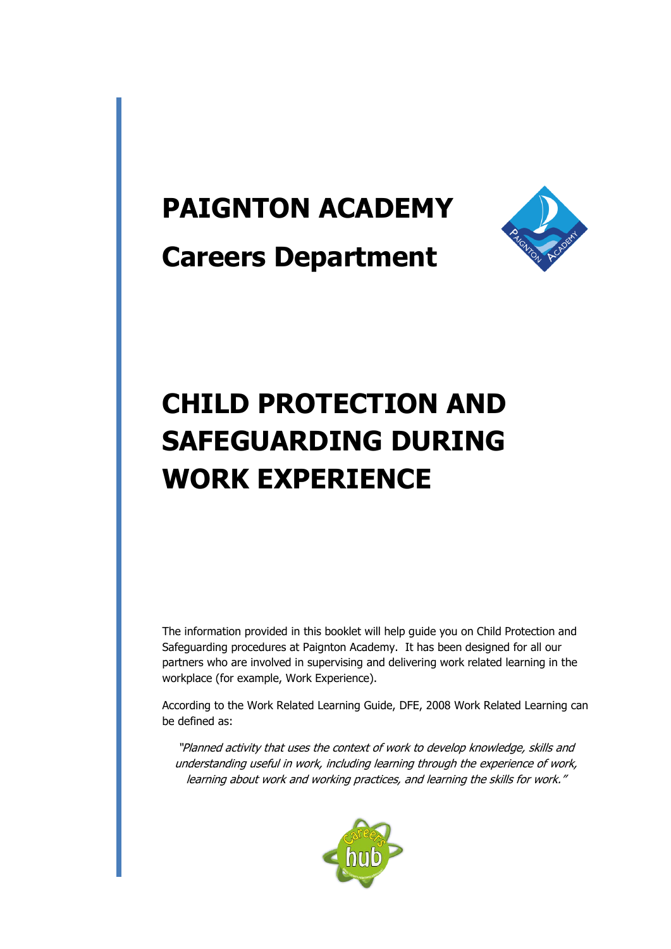## **PAIGNTON ACADEMY**



**Careers Department**

# **CHILD PROTECTION AND SAFEGUARDING DURING WORK EXPERIENCE**

The information provided in this booklet will help guide you on Child Protection and Safeguarding procedures at Paignton Academy. It has been designed for all our partners who are involved in supervising and delivering work related learning in the workplace (for example, Work Experience).

According to the Work Related Learning Guide, DFE, 2008 Work Related Learning can be defined as:

"Planned activity that uses the context of work to develop knowledge, skills and understanding useful in work, including learning through the experience of work, learning about work and working practices, and learning the skills for work."

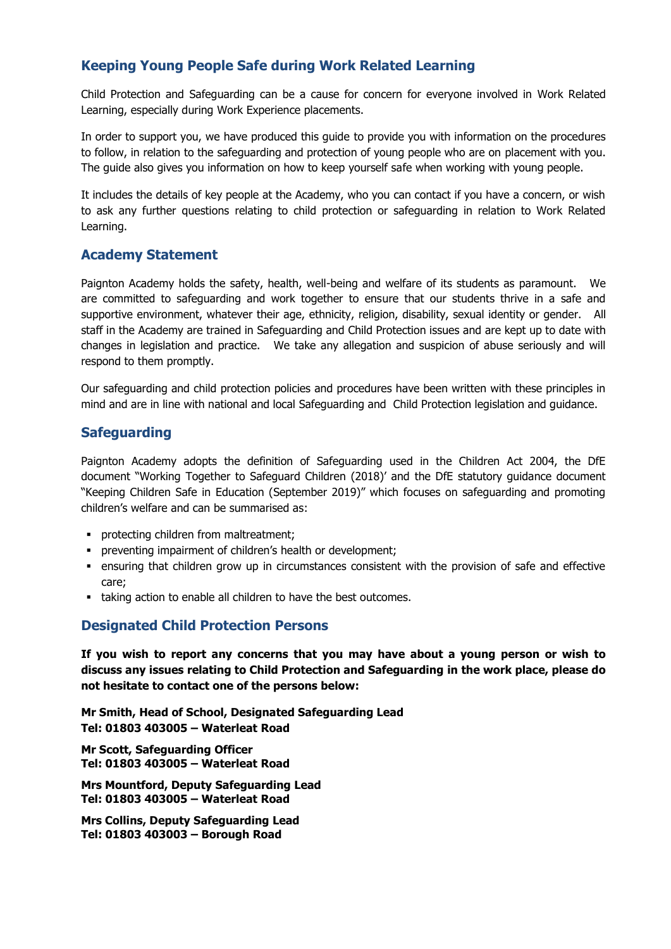## **Keeping Young People Safe during Work Related Learning**

Child Protection and Safeguarding can be a cause for concern for everyone involved in Work Related Learning, especially during Work Experience placements.

In order to support you, we have produced this guide to provide you with information on the procedures to follow, in relation to the safeguarding and protection of young people who are on placement with you. The guide also gives you information on how to keep yourself safe when working with young people.

It includes the details of key people at the Academy, who you can contact if you have a concern, or wish to ask any further questions relating to child protection or safeguarding in relation to Work Related Learning.

## **Academy Statement**

Paignton Academy holds the safety, health, well-being and welfare of its students as paramount. We are committed to safeguarding and work together to ensure that our students thrive in a safe and supportive environment, whatever their age, ethnicity, religion, disability, sexual identity or gender. All staff in the Academy are trained in Safeguarding and Child Protection issues and are kept up to date with changes in legislation and practice. We take any allegation and suspicion of abuse seriously and will respond to them promptly.

Our safeguarding and child protection policies and procedures have been written with these principles in mind and are in line with national and local Safeguarding and Child Protection legislation and guidance.

## **Safeguarding**

Paignton Academy adopts the definition of Safeguarding used in the Children Act 2004, the DfE document "Working Together to Safeguard Children (2018)' and the DfE statutory guidance document "Keeping Children Safe in Education (September 2019)" which focuses on safeguarding and promoting children's welfare and can be summarised as:

- **•** protecting children from maltreatment;
- preventing impairment of children's health or development;
- ensuring that children grow up in circumstances consistent with the provision of safe and effective care;
- taking action to enable all children to have the best outcomes.

## **Designated Child Protection Persons**

**If you wish to report any concerns that you may have about a young person or wish to discuss any issues relating to Child Protection and Safeguarding in the work place, please do not hesitate to contact one of the persons below:**

**Mr Smith, Head of School, Designated Safeguarding Lead Tel: 01803 403005 – Waterleat Road**

**Mr Scott, Safeguarding Officer Tel: 01803 403005 – Waterleat Road**

**Mrs Mountford, Deputy Safeguarding Lead Tel: 01803 403005 – Waterleat Road**

**Mrs Collins, Deputy Safeguarding Lead Tel: 01803 403003 – Borough Road**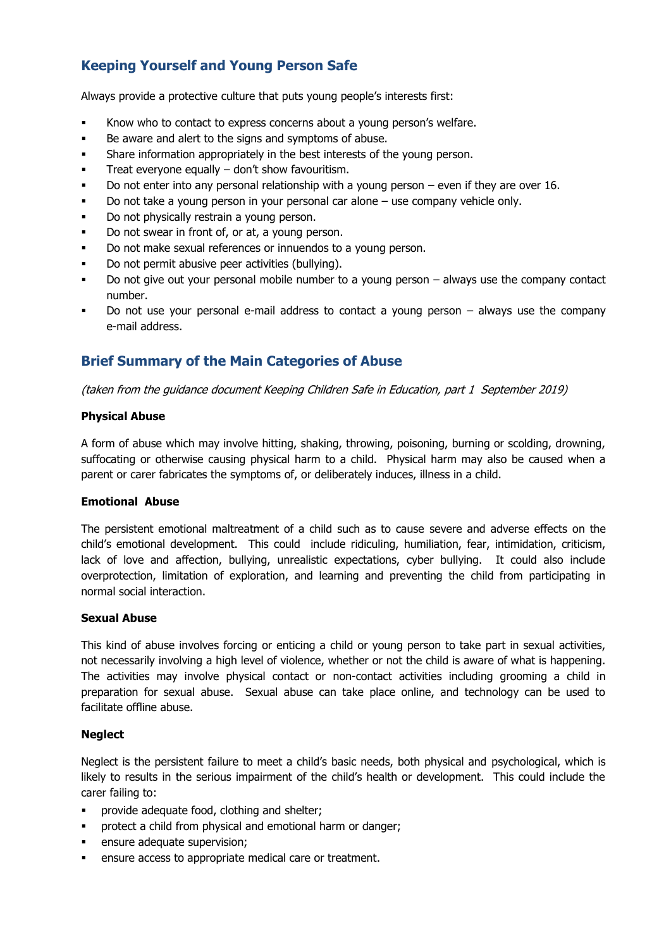## **Keeping Yourself and Young Person Safe**

Always provide a protective culture that puts young people's interests first:

- Know who to contact to express concerns about a young person's welfare.
- Be aware and alert to the signs and symptoms of abuse.
- **•** Share information appropriately in the best interests of the young person.
- **•** Treat everyone equally don't show favouritism.
- Do not enter into any personal relationship with a young person even if they are over 16.
- Do not take a young person in your personal car alone  $-$  use company vehicle only.
- Do not physically restrain a young person.
- Do not swear in front of, or at, a young person.
- Do not make sexual references or innuendos to a young person.
- Do not permit abusive peer activities (bullying).
- Do not give out your personal mobile number to a young person always use the company contact number.
- Do not use your personal e-mail address to contact a young person  $-$  always use the company e-mail address.

## **Brief Summary of the Main Categories of Abuse**

(taken from the guidance document Keeping Children Safe in Education, part 1 September 2019)

#### **Physical Abuse**

A form of abuse which may involve hitting, shaking, throwing, poisoning, burning or scolding, drowning, suffocating or otherwise causing physical harm to a child. Physical harm may also be caused when a parent or carer fabricates the symptoms of, or deliberately induces, illness in a child.

#### **Emotional Abuse**

The persistent emotional maltreatment of a child such as to cause severe and adverse effects on the child's emotional development. This could include ridiculing, humiliation, fear, intimidation, criticism, lack of love and affection, bullying, unrealistic expectations, cyber bullying. It could also include overprotection, limitation of exploration, and learning and preventing the child from participating in normal social interaction.

#### **Sexual Abuse**

This kind of abuse involves forcing or enticing a child or young person to take part in sexual activities, not necessarily involving a high level of violence, whether or not the child is aware of what is happening. The activities may involve physical contact or non-contact activities including grooming a child in preparation for sexual abuse. Sexual abuse can take place online, and technology can be used to facilitate offline abuse.

#### **Neglect**

Neglect is the persistent failure to meet a child's basic needs, both physical and psychological, which is likely to results in the serious impairment of the child's health or development. This could include the carer failing to:

- provide adequate food, clothing and shelter;
- protect a child from physical and emotional harm or danger;
- ensure adequate supervision;
- ensure access to appropriate medical care or treatment.